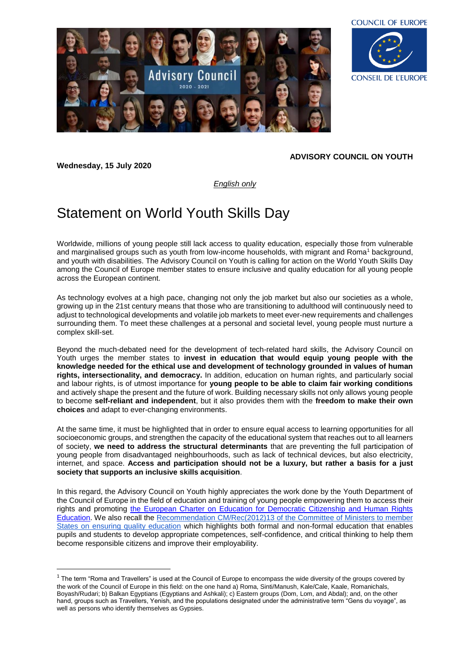



**Wednesday, 15 July 2020**

**.** 

## **ADVISORY COUNCIL ON YOUTH**

*English only*

## Statement on World Youth Skills Day

Worldwide, millions of young people still lack access to quality education, especially those from vulnerable and marginalised groups such as youth from low-income households, with migrant and Roma<sup>1</sup> background, and youth with disabilities. The Advisory Council on Youth is calling for action on the World Youth Skills Day among the Council of Europe member states to ensure inclusive and quality education for all young people across the European continent.

As technology evolves at a high pace, changing not only the job market but also our societies as a whole, growing up in the 21st century means that those who are transitioning to adulthood will continuously need to adjust to technological developments and volatile job markets to meet ever-new requirements and challenges surrounding them. To meet these challenges at a personal and societal level, young people must nurture a complex skill-set.

Beyond the much-debated need for the development of tech-related hard skills, the Advisory Council on Youth urges the member states to **invest in education that would equip young people with the knowledge needed for the ethical use and development of technology grounded in values of human rights, intersectionality, and democracy.** In addition, education on human rights, and particularly social and labour rights, is of utmost importance for **young people to be able to claim fair working conditions** and actively shape the present and the future of work. Building necessary skills not only allows young people to become **self-reliant and independent**, but it also provides them with the **freedom to make their own choices** and adapt to ever-changing environments.

At the same time, it must be highlighted that in order to ensure equal access to learning opportunities for all socioeconomic groups, and strengthen the capacity of the educational system that reaches out to all learners of society, **we need to address the structural determinants** that are preventing the full participation of young people from disadvantaged neighbourhoods, such as lack of technical devices, but also electricity, internet, and space. **Access and participation should not be a luxury, but rather a basis for a just society that supports an inclusive skills acquisition**.

In this regard, the Advisory Council on Youth highly appreciates the work done by the Youth Department of the Council of Europe in the field of education and training of young people empowering them to access their rights and promoting the [European Charter on Education for Democratic Citizenship and Human Rights](https://www.coe.int/en/web/edc/charter-on-education-for-democratic-citizenship-and-human-rights-education)  [Education.](https://www.coe.int/en/web/edc/charter-on-education-for-democratic-citizenship-and-human-rights-education) We also recall the [Recommendation CM/Rec\(2012\)13 of the Committee of Ministers to member](https://search.coe.int/cm/Pages/result_details.aspx?ObjectID=09000016805c94fb)  [States on ensuring quality education](https://search.coe.int/cm/Pages/result_details.aspx?ObjectID=09000016805c94fb) which highlights both formal and non-formal education that enables pupils and students to develop appropriate competences, self-confidence, and critical thinking to help them become responsible citizens and improve their employability.

 $1$  The term "Roma and Travellers" is used at the Council of Europe to encompass the wide diversity of the groups covered by the work of the Council of Europe in this field: on the one hand a) Roma, Sinti/Manush, Kale/Cale, Kaale, Romanichals, Boyash/Rudari; b) Balkan Egyptians (Egyptians and Ashkali); c) Eastern groups (Dom, Lom, and Abdal); and, on the other hand, groups such as Travellers, Yenish, and the populations designated under the administrative term "Gens du voyage", as well as persons who identify themselves as Gypsies.